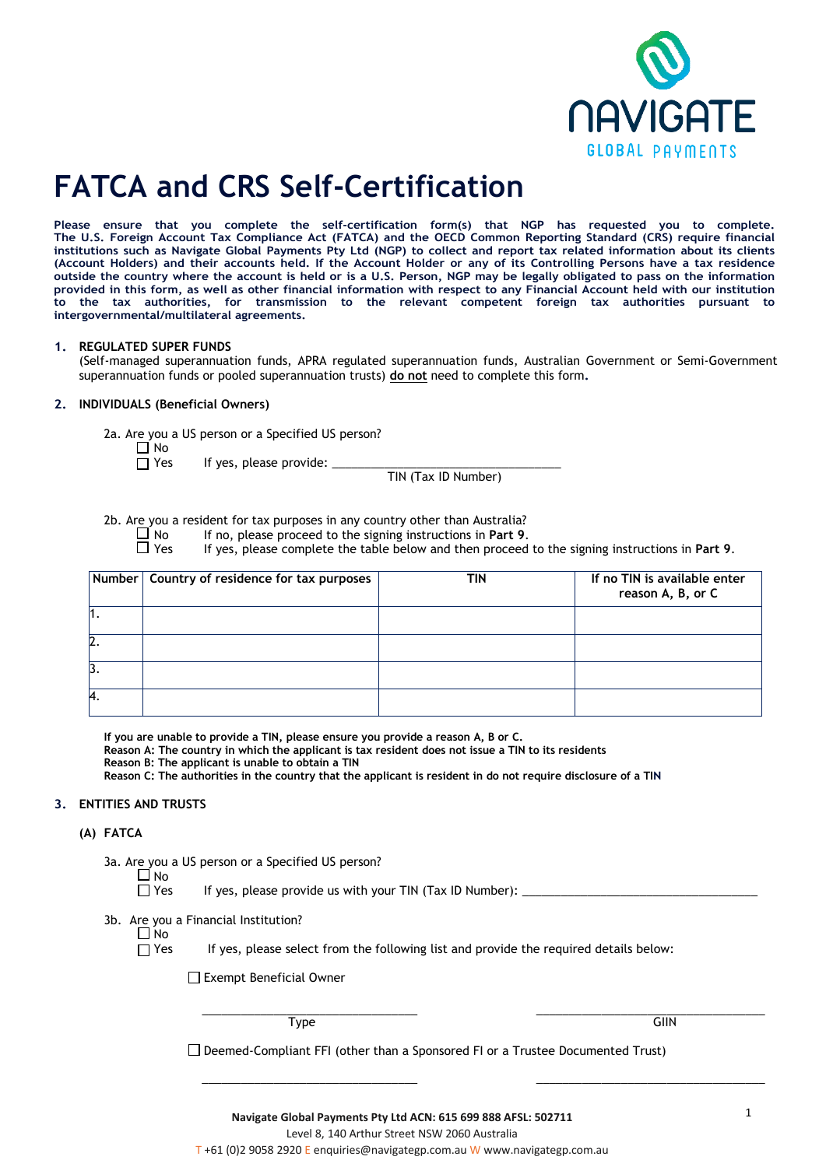

# **FATCA and CRS Self-Certification**

**Please ensure that you complete the self-certification form(s) that NGP has requested you to complete. The U.S. Foreign Account Tax Compliance Act (FATCA) and the OECD Common Reporting Standard (CRS) require financial institutions such as Navigate Global Payments Pty Ltd (NGP) to collect and report tax related information about its clients (Account Holders) and their accounts held. If the Account Holder or any of its Controlling Persons have a tax residence outside the country where the account is held or is a U.S. Person, NGP may be legally obligated to pass on the information provided in this form, as well as other financial information with respect to any Financial Account held with our institution to the tax authorities, for transmission to the relevant competent foreign tax authorities pursuant to intergovernmental/multilateral agreements.** 

#### **1. REGULATED SUPER FUNDS**

(Self-managed superannuation funds, APRA regulated superannuation funds, Australian Government or Semi-Government superannuation funds or pooled superannuation trusts) **do not** need to complete this form**.**

## **2. INDIVIDUALS (Beneficial Owners)**

2a. Are you a US person or a Specified US person?

 $\Box$  No<br> $\Box$  Yes

If yes, please provide:  $\Box$ 

TIN (Tax ID Number)

2b. Are you a resident for tax purposes in any country other than Australia?<br>I No If no, please proceed to the signing instructions in Part 9.

 $\Box$  No If no, please proceed to the signing instructions in **Part 9.**<br> $\Box$  Yes If ves. please complete the table below and then proceed

If yes, please complete the table below and then proceed to the signing instructions in Part 9.

|                  | $\left \right.$ Number $\left \right.$ Country of residence for tax purposes | TIN | If no TIN is available enter<br>reason A, B, or C |
|------------------|------------------------------------------------------------------------------|-----|---------------------------------------------------|
|                  |                                                                              |     |                                                   |
| 2                |                                                                              |     |                                                   |
| 3.               |                                                                              |     |                                                   |
| $\boldsymbol{A}$ |                                                                              |     |                                                   |

**If you are unable to provide a TIN, please ensure you provide a reason A, B or C.**

**Reason A: The country in which the applicant is tax resident does not issue a TIN to its residents**

**Reason B: The applicant is unable to obtain a TIN**

**Reason C: The authorities in the country that the applicant is resident in do not require disclosure of a TIN** 

### **3. ENTITIES AND TRUSTS**

### **(A) FATCA**

3a. Are you a US person or a Specified US person?

□ No<br>□ Yes If yes, please provide us with your TIN (Tax ID Number):  $\Box$ 

- 3b. Are you a Financial Institution?
	- $\Box$  No<br>  $\Box$  Yes

If yes, please select from the following list and provide the required details below:

□ Exempt Beneficial Owner

 $\frac{1}{2}$  ,  $\frac{1}{2}$  ,  $\frac{1}{2}$  ,  $\frac{1}{2}$  ,  $\frac{1}{2}$  ,  $\frac{1}{2}$  ,  $\frac{1}{2}$  ,  $\frac{1}{2}$  ,  $\frac{1}{2}$  ,  $\frac{1}{2}$  ,  $\frac{1}{2}$  ,  $\frac{1}{2}$  ,  $\frac{1}{2}$  ,  $\frac{1}{2}$  ,  $\frac{1}{2}$  ,  $\frac{1}{2}$  ,  $\frac{1}{2}$  ,  $\frac{1}{2}$  ,  $\frac{1$ Type GIIN

 $\square$  Deemed-Compliant FFI (other than a Sponsored FI or a Trustee Documented Trust)

 $\frac{1}{2}$  ,  $\frac{1}{2}$  ,  $\frac{1}{2}$  ,  $\frac{1}{2}$  ,  $\frac{1}{2}$  ,  $\frac{1}{2}$  ,  $\frac{1}{2}$  ,  $\frac{1}{2}$  ,  $\frac{1}{2}$  ,  $\frac{1}{2}$  ,  $\frac{1}{2}$  ,  $\frac{1}{2}$  ,  $\frac{1}{2}$  ,  $\frac{1}{2}$  ,  $\frac{1}{2}$  ,  $\frac{1}{2}$  ,  $\frac{1}{2}$  ,  $\frac{1}{2}$  ,  $\frac{1$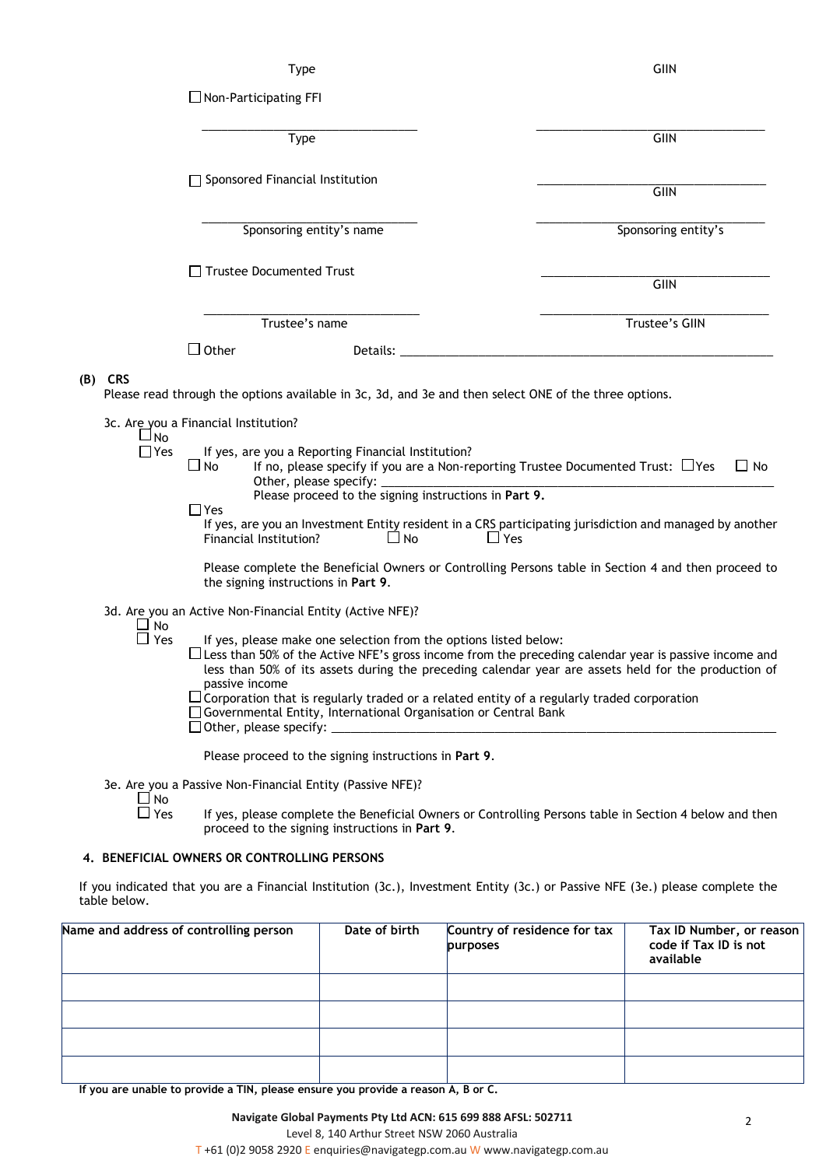Type GIIN

|                                 | $\Box$ Non-Participating FFI                                                                                                                                                                                                                                                                                                                                                                   |                                                                                  |                                                                                                                                                                                                                                                                                                                             |
|---------------------------------|------------------------------------------------------------------------------------------------------------------------------------------------------------------------------------------------------------------------------------------------------------------------------------------------------------------------------------------------------------------------------------------------|----------------------------------------------------------------------------------|-----------------------------------------------------------------------------------------------------------------------------------------------------------------------------------------------------------------------------------------------------------------------------------------------------------------------------|
|                                 | Type                                                                                                                                                                                                                                                                                                                                                                                           |                                                                                  | <b>GIIN</b>                                                                                                                                                                                                                                                                                                                 |
|                                 | □ Sponsored Financial Institution                                                                                                                                                                                                                                                                                                                                                              |                                                                                  | GIIN                                                                                                                                                                                                                                                                                                                        |
|                                 | Sponsoring entity's name                                                                                                                                                                                                                                                                                                                                                                       |                                                                                  | Sponsoring entity's                                                                                                                                                                                                                                                                                                         |
|                                 | □ Trustee Documented Trust                                                                                                                                                                                                                                                                                                                                                                     |                                                                                  | <b>GIIN</b>                                                                                                                                                                                                                                                                                                                 |
|                                 | Trustee's name                                                                                                                                                                                                                                                                                                                                                                                 |                                                                                  | Trustee's GIIN                                                                                                                                                                                                                                                                                                              |
|                                 | $\square$ Other                                                                                                                                                                                                                                                                                                                                                                                | Details:                                                                         |                                                                                                                                                                                                                                                                                                                             |
| $(B)$ CRS<br>J No<br>$\Box$ Yes | Please read through the options available in 3c, 3d, and 3e and then select ONE of the three options.<br>3c. Are you a Financial Institution?<br>If yes, are you a Reporting Financial Institution?<br>$\Box$ No<br>Other, please specify:<br>$\Box$ Yes<br>Financial Institution?                                                                                                             | Please proceed to the signing instructions in Part 9.<br>$\Box$ No<br>$\Box$ Yes | If no, please specify if you are a Non-reporting Trustee Documented Trust: $\Box$ Yes<br>$\Box$ No<br>If yes, are you an Investment Entity resident in a CRS participating jurisdiction and managed by another                                                                                                              |
| $\Box$ No<br>$\Box$ Yes         | the signing instructions in Part 9.<br>3d. Are you an Active Non-Financial Entity (Active NFE)?<br>passive income<br>$\sqcup$ Corporation that is regularly traded or a related entity of a regularly traded corporation<br>□ Governmental Entity, International Organisation or Central Bank<br>$\Box$ Other, please specify: $\Box$<br>Please proceed to the signing instructions in Part 9. | If yes, please make one selection from the options listed below:                 | Please complete the Beneficial Owners or Controlling Persons table in Section 4 and then proceed to<br>$\Box$ Less than 50% of the Active NFE's gross income from the preceding calendar year is passive income and<br>less than 50% of its assets during the preceding calendar year are assets held for the production of |
| ∐ No<br>$\square$ Yes           | 3e. Are you a Passive Non-Financial Entity (Passive NFE)?<br>proceed to the signing instructions in Part 9.                                                                                                                                                                                                                                                                                    |                                                                                  | If yes, please complete the Beneficial Owners or Controlling Persons table in Section 4 below and then                                                                                                                                                                                                                      |

# **4. BENEFICIAL OWNERS OR CONTROLLING PERSONS**

If you indicated that you are a Financial Institution (3c.), Investment Entity (3c.) or Passive NFE (3e.) please complete the table below.

| Name and address of controlling person | Date of birth | Country of residence for tax<br>purposes | Tax ID Number, or reason<br>code if Tax ID is not<br>available |
|----------------------------------------|---------------|------------------------------------------|----------------------------------------------------------------|
|                                        |               |                                          |                                                                |
|                                        |               |                                          |                                                                |
|                                        |               |                                          |                                                                |
|                                        |               |                                          |                                                                |

**If you are unable to provide a TIN, please ensure you provide a reason A, B or C.**